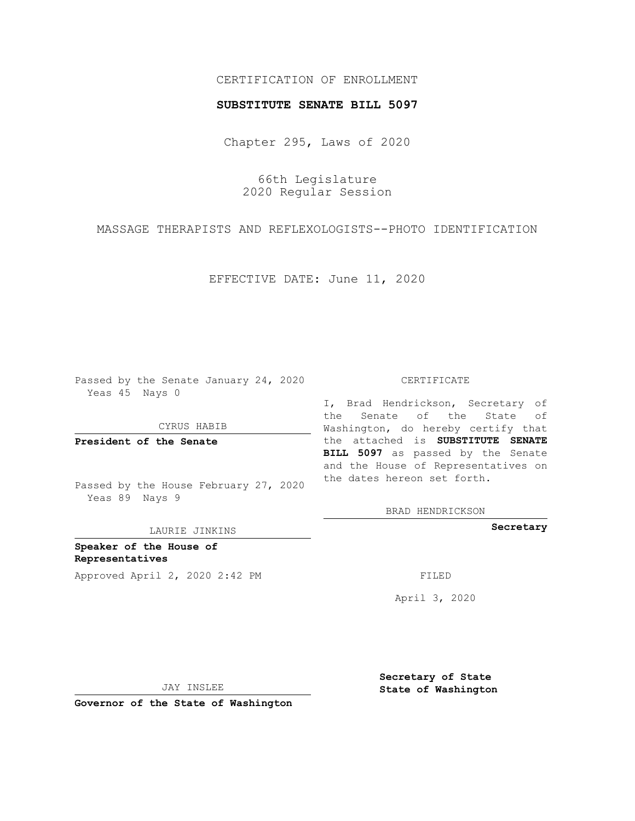## CERTIFICATION OF ENROLLMENT

## **SUBSTITUTE SENATE BILL 5097**

Chapter 295, Laws of 2020

66th Legislature 2020 Regular Session

MASSAGE THERAPISTS AND REFLEXOLOGISTS--PHOTO IDENTIFICATION

EFFECTIVE DATE: June 11, 2020

Passed by the Senate January 24, 2020 Yeas 45 Nays 0

CYRUS HABIB

**President of the Senate**

Passed by the House February 27, 2020 Yeas 89 Nays 9

LAURIE JINKINS

**Speaker of the House of Representatives** Approved April 2, 2020 2:42 PM

## CERTIFICATE

I, Brad Hendrickson, Secretary of the Senate of the State of Washington, do hereby certify that the attached is **SUBSTITUTE SENATE BILL 5097** as passed by the Senate and the House of Representatives on the dates hereon set forth.

BRAD HENDRICKSON

**Secretary**

April 3, 2020

JAY INSLEE

**Governor of the State of Washington**

**Secretary of State State of Washington**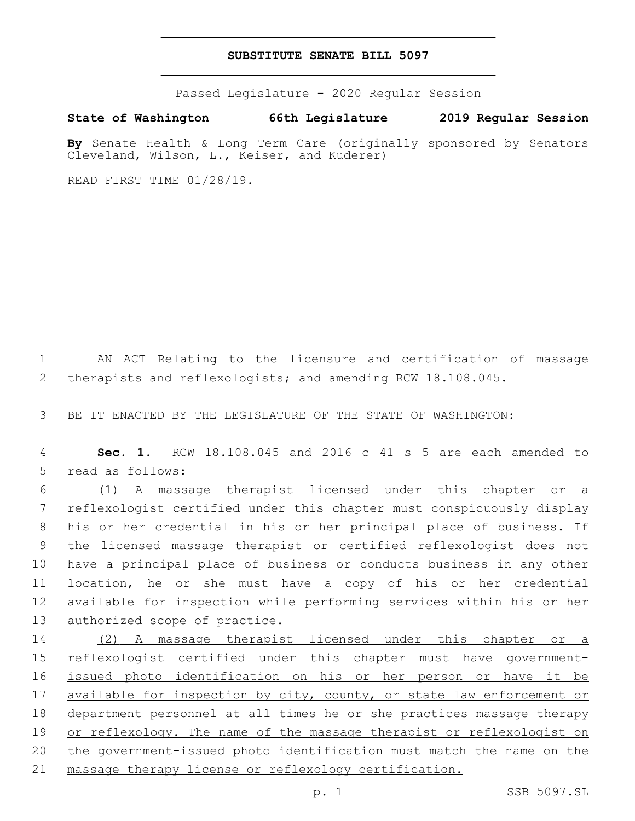## **SUBSTITUTE SENATE BILL 5097**

Passed Legislature - 2020 Regular Session

**State of Washington 66th Legislature 2019 Regular Session**

**By** Senate Health & Long Term Care (originally sponsored by Senators Cleveland, Wilson, L., Keiser, and Kuderer)

READ FIRST TIME 01/28/19.

 AN ACT Relating to the licensure and certification of massage therapists and reflexologists; and amending RCW 18.108.045.

BE IT ENACTED BY THE LEGISLATURE OF THE STATE OF WASHINGTON:

 **Sec. 1.** RCW 18.108.045 and 2016 c 41 s 5 are each amended to 5 read as follows:

 (1) A massage therapist licensed under this chapter or a reflexologist certified under this chapter must conspicuously display his or her credential in his or her principal place of business. If the licensed massage therapist or certified reflexologist does not have a principal place of business or conducts business in any other location, he or she must have a copy of his or her credential available for inspection while performing services within his or her 13 authorized scope of practice.

 (2) A massage therapist licensed under this chapter or a 15 reflexologist certified under this chapter must have government- issued photo identification on his or her person or have it be 17 available for inspection by city, county, or state law enforcement or department personnel at all times he or she practices massage therapy or reflexology. The name of the massage therapist or reflexologist on the government-issued photo identification must match the name on the massage therapy license or reflexology certification.